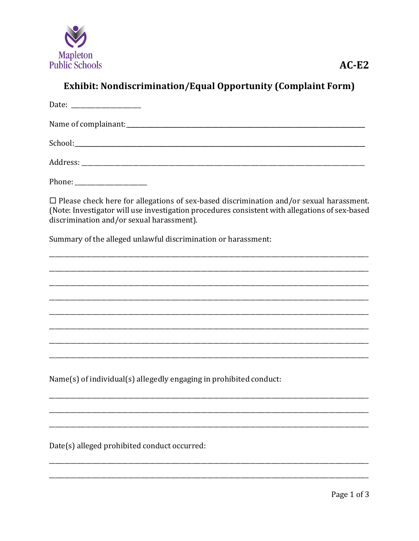

## Exhibit: Nondiscrimination/Equal Opportunity (Complaint Form)

| $\Box$ Please check here for allegations of sex-based discrimination and/or sexual harassment.<br>(Note: Investigator will use investigation procedures consistent with allegations of sex-based<br>discrimination and/or sexual harassment). |
|-----------------------------------------------------------------------------------------------------------------------------------------------------------------------------------------------------------------------------------------------|
| Summary of the alleged unlawful discrimination or harassment:                                                                                                                                                                                 |
|                                                                                                                                                                                                                                               |
|                                                                                                                                                                                                                                               |
|                                                                                                                                                                                                                                               |
|                                                                                                                                                                                                                                               |
|                                                                                                                                                                                                                                               |
|                                                                                                                                                                                                                                               |
| Name(s) of individual(s) allegedly engaging in prohibited conduct:                                                                                                                                                                            |
|                                                                                                                                                                                                                                               |
|                                                                                                                                                                                                                                               |
| Date(s) alleged prohibited conduct occurred:                                                                                                                                                                                                  |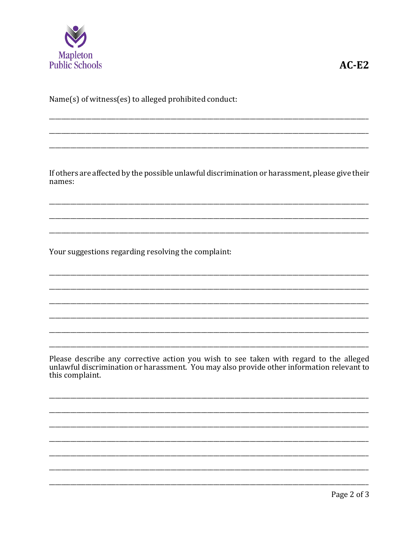

Name(s) of witness(es) to alleged prohibited conduct:

If others are affected by the possible unlawful discrimination or harassment, please give their names:

Your suggestions regarding resolving the complaint:

Please describe any corrective action you wish to see taken with regard to the alleged unlawful discrimination or harassment. You may also provide other information relevant to this complaint.